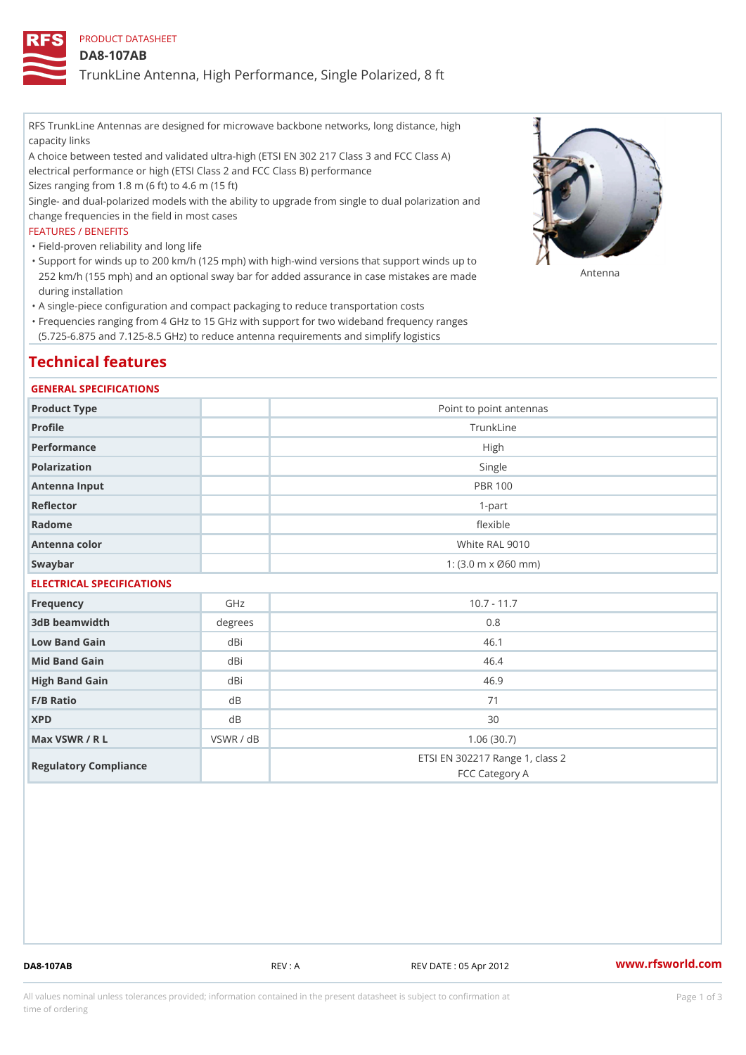## PRODUCT DATASHEET

### DA8-107AB

TrunkLine Antenna, High Performance, Single Polarized, 8 ft

RFS TrunkLine Antennas are designed for microwave backbone networks, long distance, high capacity links

A choice between tested and validated ultra-high (ETSI EN 302 217 Class 3 and FCC Class A) electrical performance or high (ETSI Class 2 and FCC Class B) performance

Sizes ranging from 1.8 m (6 ft) to 4.6 m (15 ft)

Single- and dual-polarized models with the ability to upgrade from single to dual polarization and change frequencies in the field in most cases

### FEATURES / BENEFITS

"Field-proven reliability and long life

- Support for winds up to 200 km/h (125 mph) with high-wind versions that support winds up to " 252 km/h (155 mph) and an optional sway bar for added assurance in case m 48 #8 R B & are made during installation
- "A single-piece configuration and compact packaging to reduce transportation costs
- Frequencies ranging from 4 GHz to 15 GHz with support for two wideband frequency ranges " (5.725-6.875 and 7.125-8.5 GHz) to reduce antenna requirements and simplify logistics

## Technical features

### GENERAL SPECIFICATIONS

| Product Type  | Point to point antennas                                 |
|---------------|---------------------------------------------------------|
| Profile       | TrunkLine                                               |
| Performance   | High                                                    |
| Polarization  | Single                                                  |
| Antenna Input | <b>PBR 100</b>                                          |
| Reflector     | $1-part$                                                |
| Radome        | flexible                                                |
| Antenna color | White RAL 9010                                          |
| Swaybar       | 1: $(3.0 \, \text{m} \times \emptyset 60 \, \text{mm})$ |
|               |                                                         |

## ELECTRICAL SPECIFICATIONS

| Frequency             | GHz       | $10.7 - 11.7$                                     |
|-----------------------|-----------|---------------------------------------------------|
| 3dB beamwidth         | degree    | 0.8                                               |
| Low Band Gain         | dBi       | 46.1                                              |
| Mid Band Gain         | dBi       | 46.4                                              |
| High Band Gain        | dBi       | 46.9                                              |
| $F/B$ Ratio           | d B       | 71                                                |
| <b>XPD</b>            | d B       | 30                                                |
| Max VSWR / R L        | VSWR / dB | 1.06(30.7)                                        |
| Regulatory Compliance |           | ETSI EN 302217 Range 1, class 2<br>FCC Category A |

DA8-107AB REV : A REV DATE : 05 Apr 2012 [www.](https://www.rfsworld.com)rfsworld.com

All values nominal unless tolerances provided; information contained in the present datasheet is subject to Pcapgeign mation time of ordering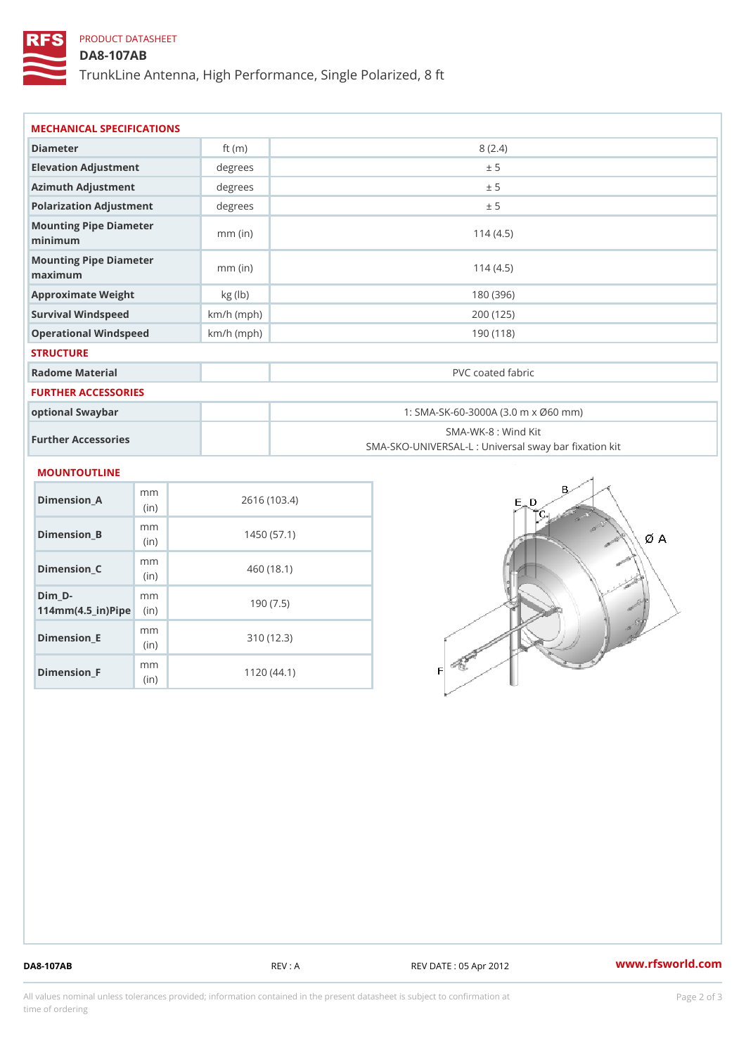# PRODUCT DATASHEET

(in)

m<sub>m</sub> (in)

Dimension\_F

## DA8-107AB

TrunkLine Antenna, High Performance, Single Polarized, 8 ft

| MECHANICAL SPECIFICATIONS                                          |                |              |                   |                                                                          |  |
|--------------------------------------------------------------------|----------------|--------------|-------------------|--------------------------------------------------------------------------|--|
| Diameter                                                           |                | ft $(m)$     | 8(2.4)            |                                                                          |  |
| Elevation Adjustment                                               |                | degrees      | ± 5               |                                                                          |  |
| Azimuth Adjustment                                                 |                | degrees      | ± 5               |                                                                          |  |
| Polarization Adjustment                                            |                | degrees      | ± 5               |                                                                          |  |
| Mounting Pipe Diameter<br>minimum                                  |                | $mm$ (in)    | 114(4.5)          |                                                                          |  |
| Mounting Pipe Diameter<br>maximum                                  |                | $mm$ (in)    | 114(4.5)          |                                                                          |  |
| Approximate Weight                                                 |                | kg (lb)      | 180 (396)         |                                                                          |  |
| Survival Windspeed                                                 |                | $km/h$ (mph) | 200 (125)         |                                                                          |  |
| Operational Windspeed                                              |                | $km/h$ (mph) | 190 (118)         |                                                                          |  |
| <b>STRUCTURE</b>                                                   |                |              |                   |                                                                          |  |
| Radome Material                                                    |                |              | PVC coated fabric |                                                                          |  |
| FURTHER ACCESSORIES                                                |                |              |                   |                                                                          |  |
| optional Swaybar                                                   |                |              |                   | 1: SMA-SK-60-3000A (3.0 m x Ø60 mm)                                      |  |
| Further Accessories                                                |                |              |                   | SMA-WK-8 : Wind Kit<br>SMA-SKO-UNIVERSAL-L : Universal sway bar fixation |  |
| MOUNTOUTLINE                                                       |                |              |                   |                                                                          |  |
| $Dimension_A$                                                      | m m<br>(in)    | 2616 (103.4) |                   |                                                                          |  |
| $Dimension_B$                                                      | m m<br>(in)    | 1450(57.1)   |                   |                                                                          |  |
| $Dimen sion_C$                                                     | m m<br>(in)    | 460(18.1)    |                   |                                                                          |  |
| $Dim_D - D -$<br>$114$ m m (4.5 _ ir ) $\sqrt{$ im $\cdot$ $\cdot$ | m <sub>m</sub> | 190(7.5)     |                   |                                                                          |  |
| Dimension_E                                                        | m m            |              | 310(12.3)         |                                                                          |  |

310 (12.3)

1120 (44.1)

DA8-107AB REV : A REV DATE : 05 Apr 2012 [www.](https://www.rfsworld.com)rfsworld.com